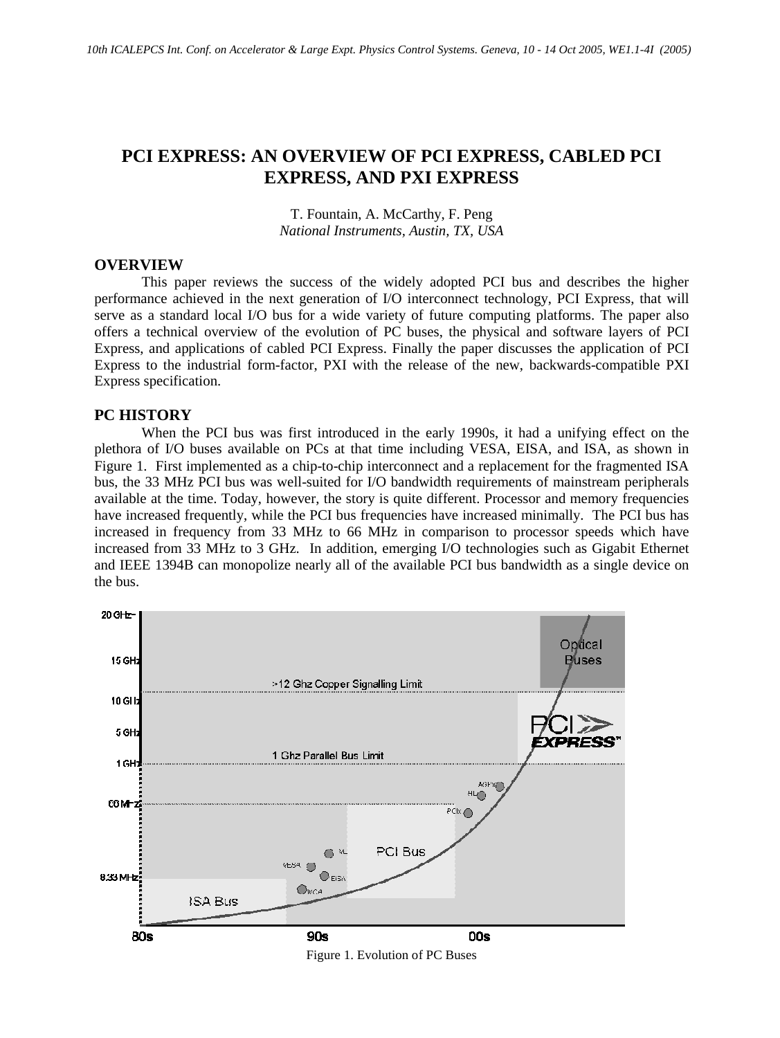# **PCI EXPRESS: AN OVERVIEW OF PCI EXPRESS, CABLED PCI EXPRESS, AND PXI EXPRESS**

T. Fountain, A. McCarthy, F. Peng *National Instruments, Austin, TX, USA* 

#### **OVERVIEW**

This paper reviews the success of the widely adopted PCI bus and describes the higher performance achieved in the next generation of I/O interconnect technology, PCI Express, that will serve as a standard local I/O bus for a wide variety of future computing platforms. The paper also offers a technical overview of the evolution of PC buses, the physical and software layers of PCI Express, and applications of cabled PCI Express. Finally the paper discusses the application of PCI Express to the industrial form-factor, PXI with the release of the new, backwards-compatible PXI Express specification.

#### **PC HISTORY**

When the PCI bus was first introduced in the early 1990s, it had a unifying effect on the plethora of I/O buses available on PCs at that time including VESA, EISA, and ISA, as shown in Figure 1. First implemented as a chip-to-chip interconnect and a replacement for the fragmented ISA bus, the 33 MHz PCI bus was well-suited for I/O bandwidth requirements of mainstream peripherals available at the time. Today, however, the story is quite different. Processor and memory frequencies have increased frequently, while the PCI bus frequencies have increased minimally. The PCI bus has increased in frequency from 33 MHz to 66 MHz in comparison to processor speeds which have increased from 33 MHz to 3 GHz. In addition, emerging I/O technologies such as Gigabit Ethernet and IEEE 1394B can monopolize nearly all of the available PCI bus bandwidth as a single device on the bus.



Figure 1. Evolution of PC Buses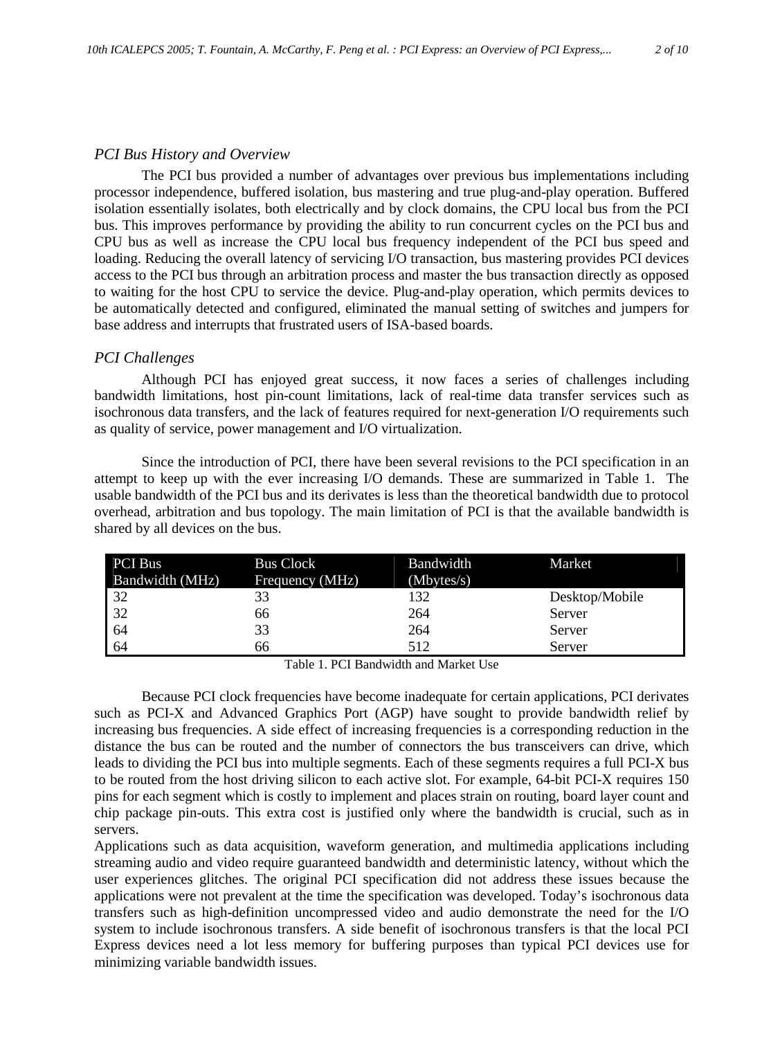## *PCI Bus History and Overview*

The PCI bus provided a number of advantages over previous bus implementations including processor independence, buffered isolation, bus mastering and true plug-and-play operation. Buffered isolation essentially isolates, both electrically and by clock domains, the CPU local bus from the PCI bus. This improves performance by providing the ability to run concurrent cycles on the PCI bus and CPU bus as well as increase the CPU local bus frequency independent of the PCI bus speed and loading. Reducing the overall latency of servicing I/O transaction, bus mastering provides PCI devices access to the PCI bus through an arbitration process and master the bus transaction directly as opposed to waiting for the host CPU to service the device. Plug-and-play operation, which permits devices to be automatically detected and configured, eliminated the manual setting of switches and jumpers for base address and interrupts that frustrated users of ISA-based boards.

## *PCI Challenges*

Although PCI has enjoyed great success, it now faces a series of challenges including bandwidth limitations, host pin-count limitations, lack of real-time data transfer services such as isochronous data transfers, and the lack of features required for next-generation I/O requirements such as quality of service, power management and I/O virtualization.

Since the introduction of PCI, there have been several revisions to the PCI specification in an attempt to keep up with the ever increasing I/O demands. These are summarized in Table 1. The usable bandwidth of the PCI bus and its derivates is less than the theoretical bandwidth due to protocol overhead, arbitration and bus topology. The main limitation of PCI is that the available bandwidth is shared by all devices on the bus.

| <b>PCI Bus</b>  | <b>Bus Clock</b> | Bandwidth  | Market         |
|-----------------|------------------|------------|----------------|
| Bandwidth (MHz) | Frequency (MHz)  | (Mbytes/s) |                |
| 32              | 33               | 132        | Desktop/Mobile |
| 32<br>64<br>64  | 66               | 264        | Server         |
|                 | 33               | 264        | Server         |
|                 | 66               | 512        | Server         |

Table 1. PCI Bandwidth and Market Use

Because PCI clock frequencies have become inadequate for certain applications, PCI derivates such as PCI-X and Advanced Graphics Port (AGP) have sought to provide bandwidth relief by increasing bus frequencies. A side effect of increasing frequencies is a corresponding reduction in the distance the bus can be routed and the number of connectors the bus transceivers can drive, which leads to dividing the PCI bus into multiple segments. Each of these segments requires a full PCI-X bus to be routed from the host driving silicon to each active slot. For example, 64-bit PCI-X requires 150 pins for each segment which is costly to implement and places strain on routing, board layer count and chip package pin-outs. This extra cost is justified only where the bandwidth is crucial, such as in servers.

Applications such as data acquisition, waveform generation, and multimedia applications including streaming audio and video require guaranteed bandwidth and deterministic latency, without which the user experiences glitches. The original PCI specification did not address these issues because the applications were not prevalent at the time the specification was developed. Today's isochronous data transfers such as high-definition uncompressed video and audio demonstrate the need for the I/O system to include isochronous transfers. A side benefit of isochronous transfers is that the local PCI Express devices need a lot less memory for buffering purposes than typical PCI devices use for minimizing variable bandwidth issues.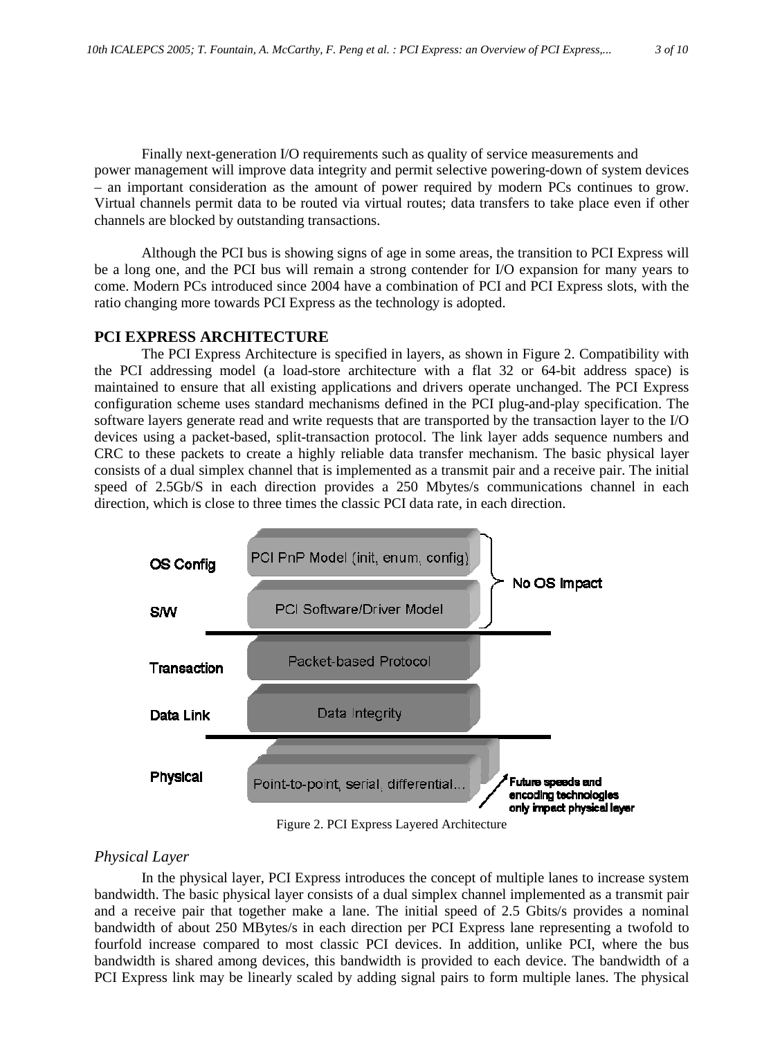Finally next-generation I/O requirements such as quality of service measurements and power management will improve data integrity and permit selective powering-down of system devices – an important consideration as the amount of power required by modern PCs continues to grow. Virtual channels permit data to be routed via virtual routes; data transfers to take place even if other channels are blocked by outstanding transactions.

Although the PCI bus is showing signs of age in some areas, the transition to PCI Express will be a long one, and the PCI bus will remain a strong contender for I/O expansion for many years to come. Modern PCs introduced since 2004 have a combination of PCI and PCI Express slots, with the ratio changing more towards PCI Express as the technology is adopted.

## **PCI EXPRESS ARCHITECTURE**

The PCI Express Architecture is specified in layers, as shown in Figure 2. Compatibility with the PCI addressing model (a load-store architecture with a flat 32 or 64-bit address space) is maintained to ensure that all existing applications and drivers operate unchanged. The PCI Express configuration scheme uses standard mechanisms defined in the PCI plug-and-play specification. The software layers generate read and write requests that are transported by the transaction layer to the I/O devices using a packet-based, split-transaction protocol. The link layer adds sequence numbers and CRC to these packets to create a highly reliable data transfer mechanism. The basic physical layer consists of a dual simplex channel that is implemented as a transmit pair and a receive pair. The initial speed of 2.5Gb/S in each direction provides a 250 Mbytes/s communications channel in each direction, which is close to three times the classic PCI data rate, in each direction.



Figure 2. PCI Express Layered Architecture

## *Physical Layer*

In the physical layer, PCI Express introduces the concept of multiple lanes to increase system bandwidth. The basic physical layer consists of a dual simplex channel implemented as a transmit pair and a receive pair that together make a lane. The initial speed of 2.5 Gbits/s provides a nominal bandwidth of about 250 MBytes/s in each direction per PCI Express lane representing a twofold to fourfold increase compared to most classic PCI devices. In addition, unlike PCI, where the bus bandwidth is shared among devices, this bandwidth is provided to each device. The bandwidth of a PCI Express link may be linearly scaled by adding signal pairs to form multiple lanes. The physical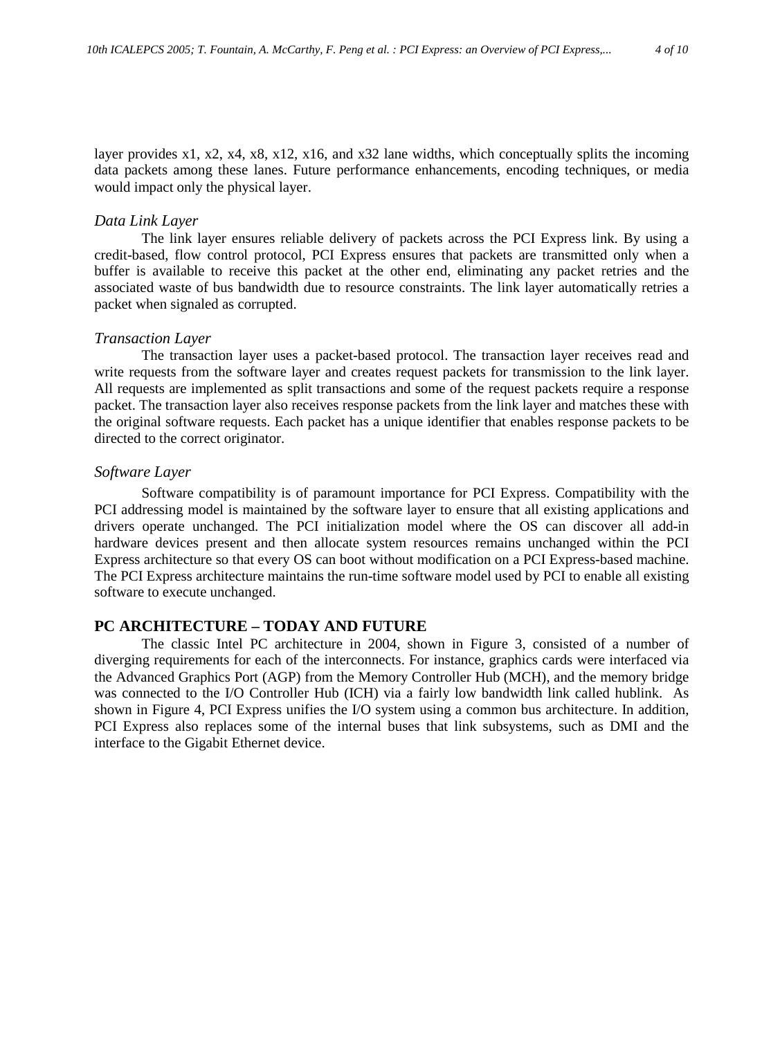layer provides x1, x2, x4, x8, x12, x16, and x32 lane widths, which conceptually splits the incoming data packets among these lanes. Future performance enhancements, encoding techniques, or media would impact only the physical layer.

#### *Data Link Layer*

The link layer ensures reliable delivery of packets across the PCI Express link. By using a credit-based, flow control protocol, PCI Express ensures that packets are transmitted only when a buffer is available to receive this packet at the other end, eliminating any packet retries and the associated waste of bus bandwidth due to resource constraints. The link layer automatically retries a packet when signaled as corrupted.

#### *Transaction Layer*

The transaction layer uses a packet-based protocol. The transaction layer receives read and write requests from the software layer and creates request packets for transmission to the link layer. All requests are implemented as split transactions and some of the request packets require a response packet. The transaction layer also receives response packets from the link layer and matches these with the original software requests. Each packet has a unique identifier that enables response packets to be directed to the correct originator.

#### *Software Layer*

Software compatibility is of paramount importance for PCI Express. Compatibility with the PCI addressing model is maintained by the software layer to ensure that all existing applications and drivers operate unchanged. The PCI initialization model where the OS can discover all add-in hardware devices present and then allocate system resources remains unchanged within the PCI Express architecture so that every OS can boot without modification on a PCI Express-based machine. The PCI Express architecture maintains the run-time software model used by PCI to enable all existing software to execute unchanged.

## **PC ARCHITECTURE – TODAY AND FUTURE**

The classic Intel PC architecture in 2004, shown in Figure 3, consisted of a number of diverging requirements for each of the interconnects. For instance, graphics cards were interfaced via the Advanced Graphics Port (AGP) from the Memory Controller Hub (MCH), and the memory bridge was connected to the I/O Controller Hub (ICH) via a fairly low bandwidth link called hublink. As shown in Figure 4, PCI Express unifies the I/O system using a common bus architecture. In addition, PCI Express also replaces some of the internal buses that link subsystems, such as DMI and the interface to the Gigabit Ethernet device.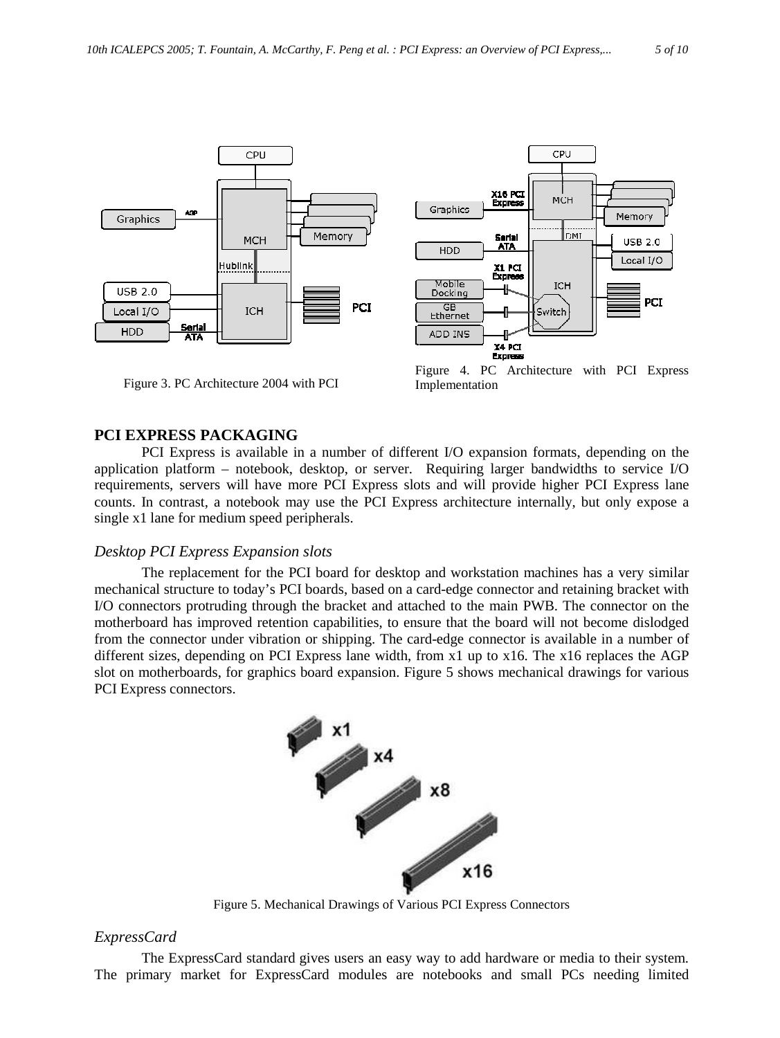



Figure 3. PC Architecture 2004 with PCI

Figure 4. PC Architecture with PCI Express Implementation

## **PCI EXPRESS PACKAGING**

PCI Express is available in a number of different I/O expansion formats, depending on the application platform – notebook, desktop, or server. Requiring larger bandwidths to service I/O requirements, servers will have more PCI Express slots and will provide higher PCI Express lane counts. In contrast, a notebook may use the PCI Express architecture internally, but only expose a single x1 lane for medium speed peripherals.

## *Desktop PCI Express Expansion slots*

The replacement for the PCI board for desktop and workstation machines has a very similar mechanical structure to today's PCI boards, based on a card-edge connector and retaining bracket with I/O connectors protruding through the bracket and attached to the main PWB. The connector on the motherboard has improved retention capabilities, to ensure that the board will not become dislodged from the connector under vibration or shipping. The card-edge connector is available in a number of different sizes, depending on PCI Express lane width, from x1 up to x16. The x16 replaces the AGP slot on motherboards, for graphics board expansion. Figure 5 shows mechanical drawings for various PCI Express connectors.



Figure 5. Mechanical Drawings of Various PCI Express Connectors

## *ExpressCard*

The ExpressCard standard gives users an easy way to add hardware or media to their system. The primary market for ExpressCard modules are notebooks and small PCs needing limited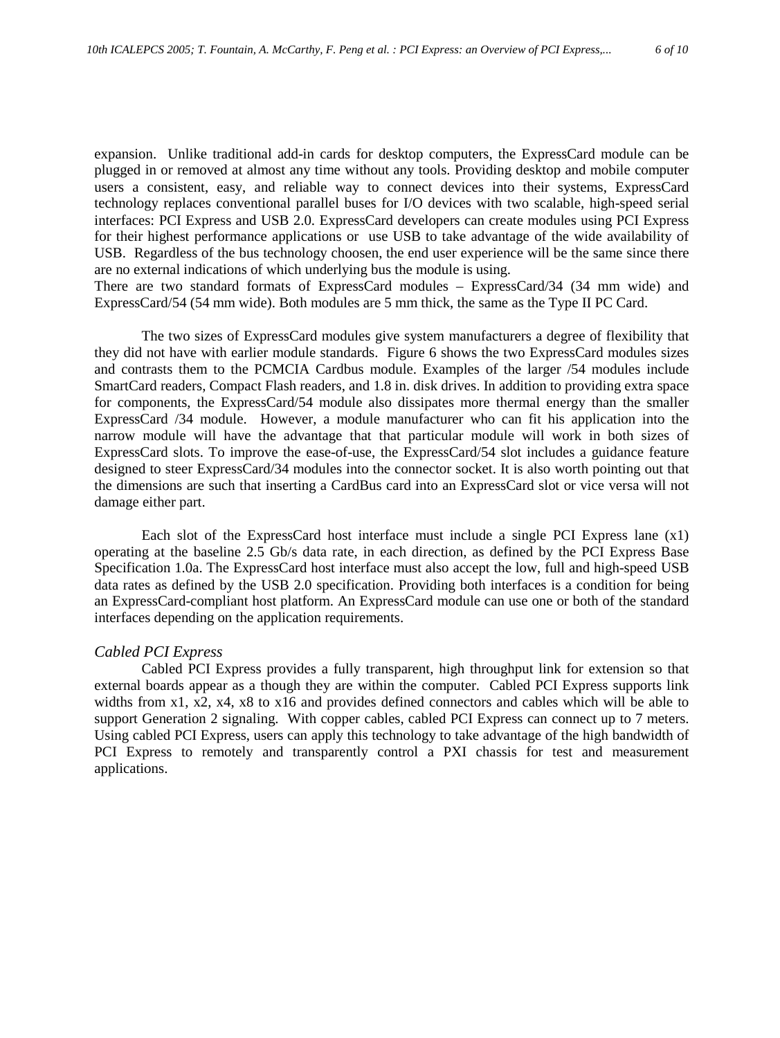expansion. Unlike traditional add-in cards for desktop computers, the ExpressCard module can be plugged in or removed at almost any time without any tools. Providing desktop and mobile computer users a consistent, easy, and reliable way to connect devices into their systems, ExpressCard technology replaces conventional parallel buses for I/O devices with two scalable, high-speed serial interfaces: PCI Express and USB 2.0. ExpressCard developers can create modules using PCI Express for their highest performance applications or use USB to take advantage of the wide availability of USB. Regardless of the bus technology choosen, the end user experience will be the same since there are no external indications of which underlying bus the module is using.

There are two standard formats of ExpressCard modules – ExpressCard/34 (34 mm wide) and ExpressCard/54 (54 mm wide). Both modules are 5 mm thick, the same as the Type II PC Card.

The two sizes of ExpressCard modules give system manufacturers a degree of flexibility that they did not have with earlier module standards. Figure 6 shows the two ExpressCard modules sizes and contrasts them to the PCMCIA Cardbus module. Examples of the larger /54 modules include SmartCard readers, Compact Flash readers, and 1.8 in. disk drives. In addition to providing extra space for components, the ExpressCard/54 module also dissipates more thermal energy than the smaller ExpressCard /34 module. However, a module manufacturer who can fit his application into the narrow module will have the advantage that that particular module will work in both sizes of ExpressCard slots. To improve the ease-of-use, the ExpressCard/54 slot includes a guidance feature designed to steer ExpressCard/34 modules into the connector socket. It is also worth pointing out that the dimensions are such that inserting a CardBus card into an ExpressCard slot or vice versa will not damage either part.

Each slot of the ExpressCard host interface must include a single PCI Express lane (x1) operating at the baseline 2.5 Gb/s data rate, in each direction, as defined by the PCI Express Base Specification 1.0a. The ExpressCard host interface must also accept the low, full and high-speed USB data rates as defined by the USB 2.0 specification. Providing both interfaces is a condition for being an ExpressCard-compliant host platform. An ExpressCard module can use one or both of the standard interfaces depending on the application requirements.

## *Cabled PCI Express*

Cabled PCI Express provides a fully transparent, high throughput link for extension so that external boards appear as a though they are within the computer. Cabled PCI Express supports link widths from x1, x2, x4, x8 to x16 and provides defined connectors and cables which will be able to support Generation 2 signaling. With copper cables, cabled PCI Express can connect up to 7 meters. Using cabled PCI Express, users can apply this technology to take advantage of the high bandwidth of PCI Express to remotely and transparently control a PXI chassis for test and measurement applications.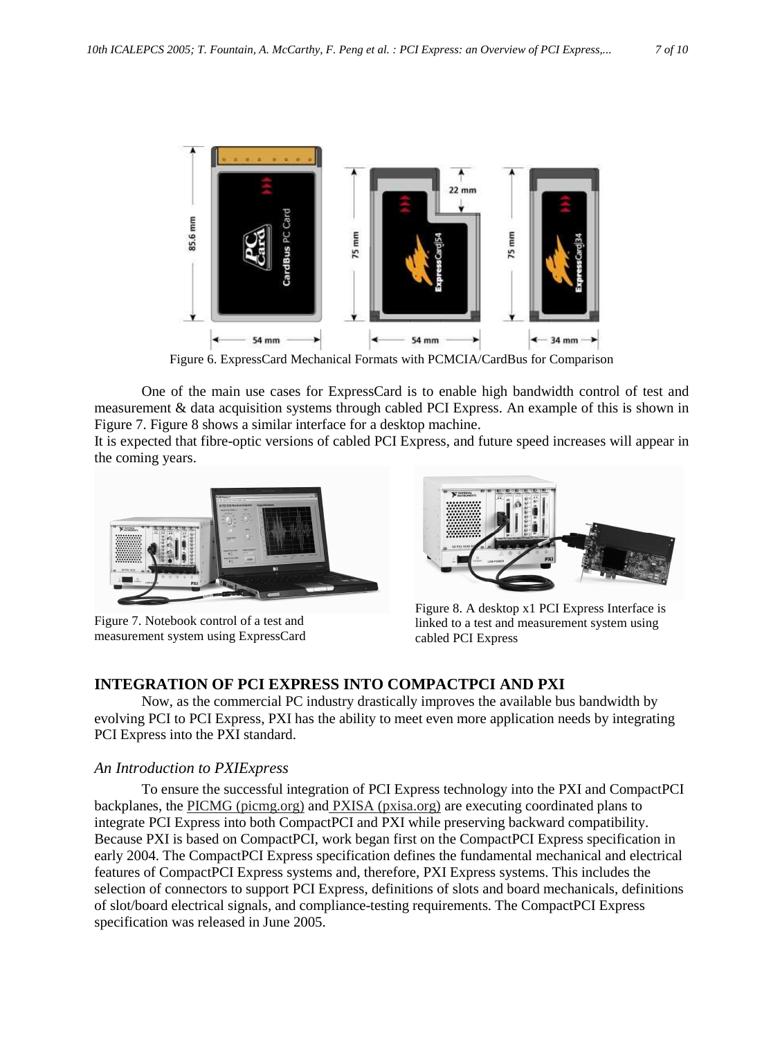

Figure 6. ExpressCard Mechanical Formats with PCMCIA/CardBus for Comparison

One of the main use cases for ExpressCard is to enable high bandwidth control of test and measurement & data acquisition systems through cabled PCI Express. An example of this is shown in Figure 7. Figure 8 shows a similar interface for a desktop machine.

It is expected that fibre-optic versions of cabled PCI Express, and future speed increases will appear in the coming years.



Figure 7. Notebook control of a test and measurement system using ExpressCard



Figure 8. A desktop x1 PCI Express Interface is linked to a test and measurement system using cabled PCI Express

## **INTEGRATION OF PCI EXPRESS INTO COMPACTPCI AND PXI**

Now, as the commercial PC industry drastically improves the available bus bandwidth by evolving PCI to PCI Express, PXI has the ability to meet even more application needs by integrating PCI Express into the PXI standard.

## *An Introduction to PXIExpress*

To ensure the successful integration of PCI Express technology into the PXI and CompactPCI backplanes, the PICMG (picmg.org) and PXISA (pxisa.org) are executing coordinated plans to integrate PCI Express into both CompactPCI and PXI while preserving backward compatibility. Because PXI is based on CompactPCI, work began first on the CompactPCI Express specification in early 2004. The CompactPCI Express specification defines the fundamental mechanical and electrical features of CompactPCI Express systems and, therefore, PXI Express systems. This includes the selection of connectors to support PCI Express, definitions of slots and board mechanicals, definitions of slot/board electrical signals, and compliance-testing requirements. The CompactPCI Express specification was released in June 2005.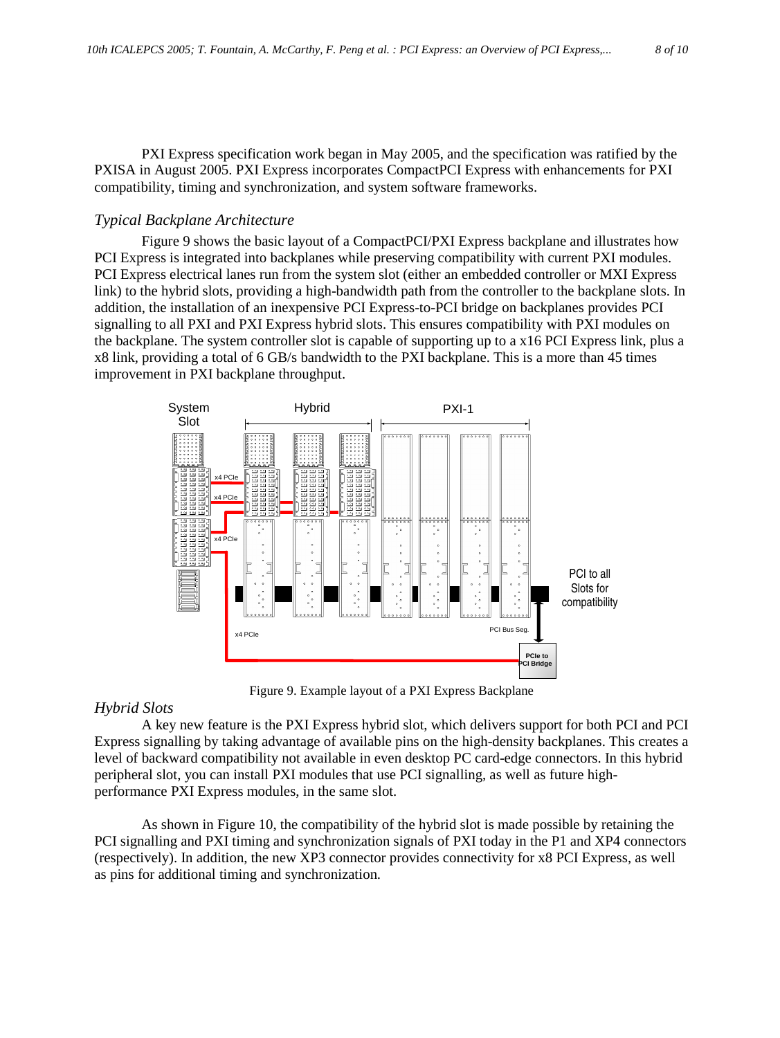PXI Express specification work began in May 2005, and the specification was ratified by the PXISA in August 2005. PXI Express incorporates CompactPCI Express with enhancements for PXI compatibility, timing and synchronization, and system software frameworks.

#### *Typical Backplane Architecture*

Figure 9 shows the basic layout of a CompactPCI/PXI Express backplane and illustrates how PCI Express is integrated into backplanes while preserving compatibility with current PXI modules. PCI Express electrical lanes run from the system slot (either an embedded controller or MXI Express link) to the hybrid slots, providing a high-bandwidth path from the controller to the backplane slots. In addition, the installation of an inexpensive PCI Express-to-PCI bridge on backplanes provides PCI signalling to all PXI and PXI Express hybrid slots. This ensures compatibility with PXI modules on the backplane. The system controller slot is capable of supporting up to a x16 PCI Express link, plus a x8 link, providing a total of 6 GB/s bandwidth to the PXI backplane. This is a more than 45 times improvement in PXI backplane throughput.



Figure 9. Example layout of a PXI Express Backplane

#### *Hybrid Slots*

A key new feature is the PXI Express hybrid slot, which delivers support for both PCI and PCI Express signalling by taking advantage of available pins on the high-density backplanes. This creates a level of backward compatibility not available in even desktop PC card-edge connectors. In this hybrid peripheral slot, you can install PXI modules that use PCI signalling, as well as future highperformance PXI Express modules, in the same slot.

As shown in Figure 10, the compatibility of the hybrid slot is made possible by retaining the PCI signalling and PXI timing and synchronization signals of PXI today in the P1 and XP4 connectors (respectively). In addition, the new XP3 connector provides connectivity for x8 PCI Express, as well as pins for additional timing and synchronization.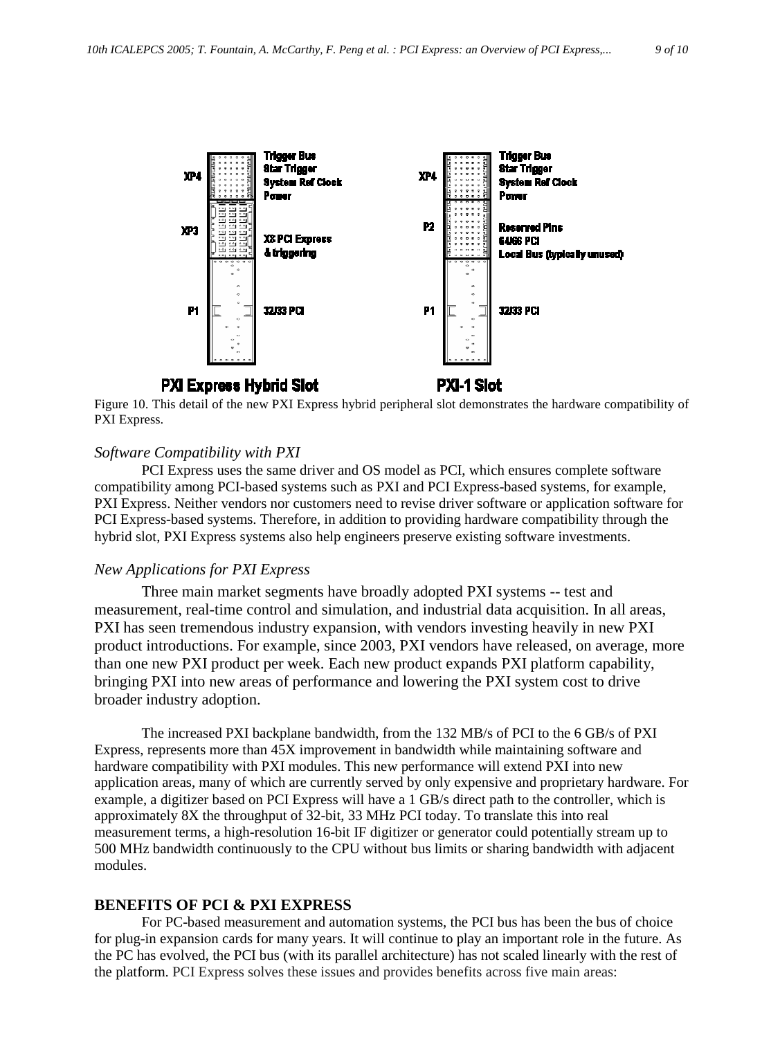

Figure 10. This detail of the new PXI Express hybrid peripheral slot demonstrates the hardware compatibility of PXI Express.

#### *Software Compatibility with PXI*

PCI Express uses the same driver and OS model as PCI, which ensures complete software compatibility among PCI-based systems such as PXI and PCI Express-based systems, for example, PXI Express. Neither vendors nor customers need to revise driver software or application software for PCI Express-based systems. Therefore, in addition to providing hardware compatibility through the hybrid slot, PXI Express systems also help engineers preserve existing software investments.

#### *New Applications for PXI Express*

Three main market segments have broadly adopted PXI systems -- test and measurement, real-time control and simulation, and industrial data acquisition. In all areas, PXI has seen tremendous industry expansion, with vendors investing heavily in new PXI product introductions. For example, since 2003, PXI vendors have released, on average, more than one new PXI product per week. Each new product expands PXI platform capability, bringing PXI into new areas of performance and lowering the PXI system cost to drive broader industry adoption.

The increased PXI backplane bandwidth, from the 132 MB/s of PCI to the 6 GB/s of PXI Express, represents more than 45X improvement in bandwidth while maintaining software and hardware compatibility with PXI modules. This new performance will extend PXI into new application areas, many of which are currently served by only expensive and proprietary hardware. For example, a digitizer based on PCI Express will have a 1 GB/s direct path to the controller, which is approximately 8X the throughput of 32-bit, 33 MHz PCI today. To translate this into real measurement terms, a high-resolution 16-bit IF digitizer or generator could potentially stream up to 500 MHz bandwidth continuously to the CPU without bus limits or sharing bandwidth with adjacent modules.

#### **BENEFITS OF PCI & PXI EXPRESS**

For PC-based measurement and automation systems, the PCI bus has been the bus of choice for plug-in expansion cards for many years. It will continue to play an important role in the future. As the PC has evolved, the PCI bus (with its parallel architecture) has not scaled linearly with the rest of the platform. PCI Express solves these issues and provides benefits across five main areas: